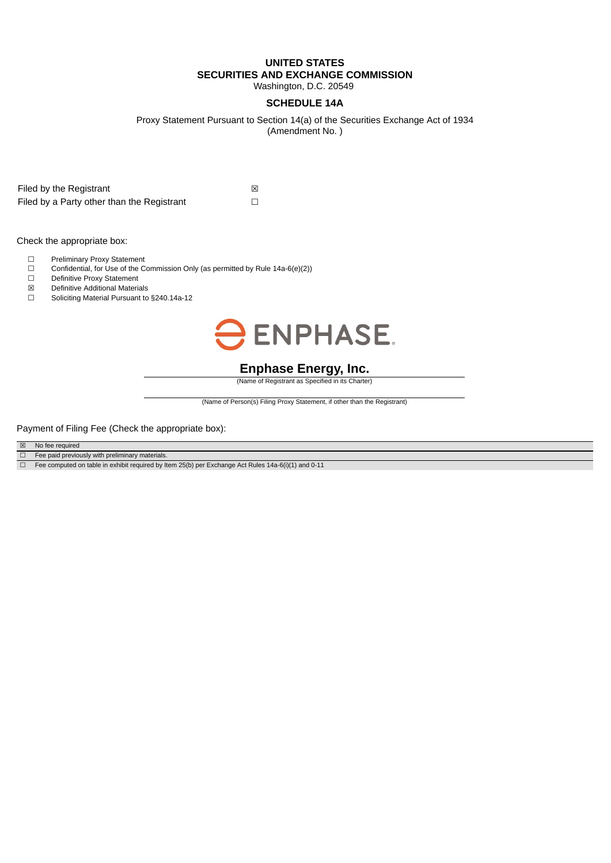## **UNITED STATES SECURITIES AND EXCHANGE COMMISSION**

Washington, D.C. 20549

#### **SCHEDULE 14A**

Proxy Statement Pursuant to Section 14(a) of the Securities Exchange Act of 1934 (Amendment No. )

Filed by the Registrant  $\boxtimes$ Filed by a Party other than the Registrant  $□$ 

Check the appropriate box:

- $\Box$  Preliminary Proxy Statement
- Confidential, for Use of the Commission Only (as permitted by Rule 14a-6(e)(2))
- □ Definitive Proxy Statement<br>図 Definitive Additional Materia
- $\boxtimes$  Definitive Additional Materials<br>  $\square$  Soliciting Material Pursuant to
- Soliciting Material Pursuant to §240.14a-12



# **Enphase Energy, Inc.**

(Name of Registrant as Specified in its Charter)

(Name of Person(s) Filing Proxy Statement, if other than the Registrant)

Payment of Filing Fee (Check the appropriate box):

☒ No fee required

 $\Box$  Fee paid previously with preliminary materials.

☐ Fee computed on table in exhibit required by Item 25(b) per Exchange Act Rules 14a-6(i)(1) and 0-11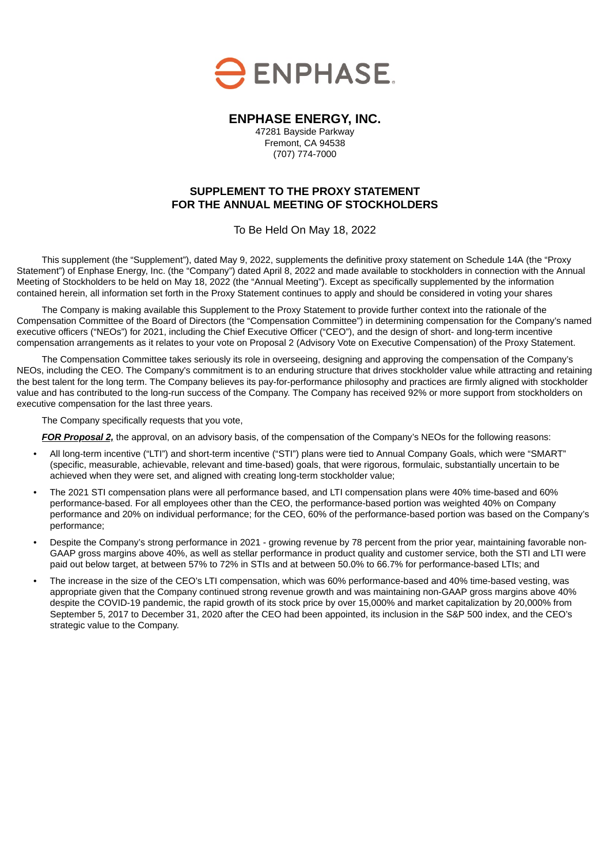

## **ENPHASE ENERGY, INC.**

47281 Bayside Parkway Fremont, CA 94538 (707) 774-7000

## **SUPPLEMENT TO THE PROXY STATEMENT FOR THE ANNUAL MEETING OF STOCKHOLDERS**

To Be Held On May 18, 2022

This supplement (the "Supplement"), dated May 9, 2022, supplements the definitive proxy statement on Schedule 14A (the "Proxy Statement") of Enphase Energy, Inc. (the "Company") dated April 8, 2022 and made available to stockholders in connection with the Annual Meeting of Stockholders to be held on May 18, 2022 (the "Annual Meeting"). Except as specifically supplemented by the information contained herein, all information set forth in the Proxy Statement continues to apply and should be considered in voting your shares

The Company is making available this Supplement to the Proxy Statement to provide further context into the rationale of the Compensation Committee of the Board of Directors (the "Compensation Committee") in determining compensation for the Company's named executive officers ("NEOs") for 2021, including the Chief Executive Officer ("CEO"), and the design of short- and long-term incentive compensation arrangements as it relates to your vote on Proposal 2 (Advisory Vote on Executive Compensation) of the Proxy Statement.

The Compensation Committee takes seriously its role in overseeing, designing and approving the compensation of the Company's NEOs, including the CEO. The Company's commitment is to an enduring structure that drives stockholder value while attracting and retaining the best talent for the long term. The Company believes its pay-for-performance philosophy and practices are firmly aligned with stockholder value and has contributed to the long-run success of the Company. The Company has received 92% or more support from stockholders on executive compensation for the last three years.

The Company specifically requests that you vote,

*FOR Proposal 2,* the approval, on an advisory basis, of the compensation of the Company's NEOs for the following reasons:

- All long-term incentive ("LTI") and short-term incentive ("STI") plans were tied to Annual Company Goals, which were "SMART" (specific, measurable, achievable, relevant and time-based) goals, that were rigorous, formulaic, substantially uncertain to be achieved when they were set, and aligned with creating long-term stockholder value;
- The 2021 STI compensation plans were all performance based, and LTI compensation plans were 40% time-based and 60% performance-based. For all employees other than the CEO, the performance-based portion was weighted 40% on Company performance and 20% on individual performance; for the CEO, 60% of the performance-based portion was based on the Company's performance;
- Despite the Company's strong performance in 2021 growing revenue by 78 percent from the prior year, maintaining favorable non-GAAP gross margins above 40%, as well as stellar performance in product quality and customer service, both the STI and LTI were paid out below target, at between 57% to 72% in STIs and at between 50.0% to 66.7% for performance-based LTIs; and
- The increase in the size of the CEO's LTI compensation, which was 60% performance-based and 40% time-based vesting, was appropriate given that the Company continued strong revenue growth and was maintaining non-GAAP gross margins above 40% despite the COVID-19 pandemic, the rapid growth of its stock price by over 15,000% and market capitalization by 20,000% from September 5, 2017 to December 31, 2020 after the CEO had been appointed, its inclusion in the S&P 500 index, and the CEO's strategic value to the Company.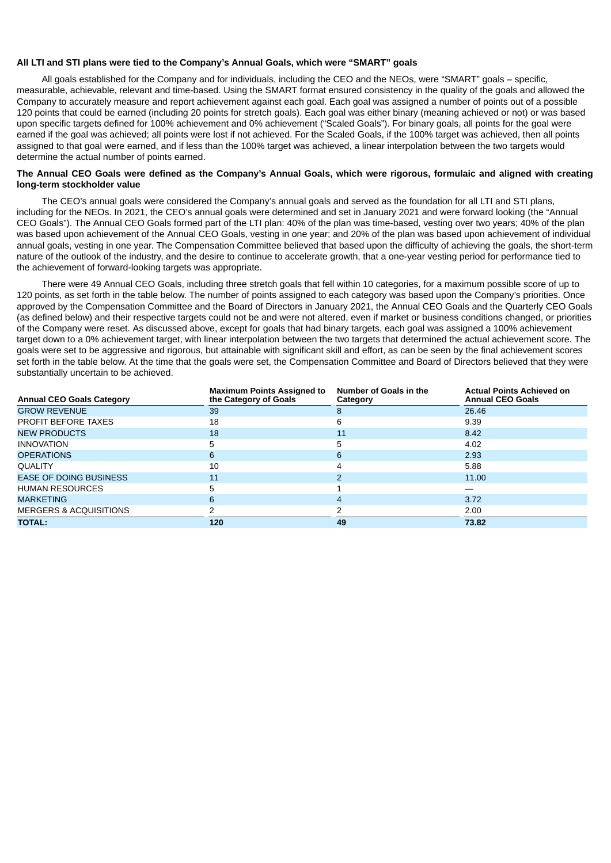#### **All LTI and STI plans were tied to the Company's Annual Goals, which were "SMART" goals**

All goals established for the Company and for individuals, including the CEO and the NEOs, were "SMART" goals – specific, measurable, achievable, relevant and time-based. Using the SMART format ensured consistency in the quality of the goals and allowed the Company to accurately measure and report achievement against each goal. Each goal was assigned a number of points out of a possible 120 points that could be earned (including 20 points for stretch goals). Each goal was either binary (meaning achieved or not) or was based upon specific targets defined for 100% achievement and 0% achievement ("Scaled Goals"). For binary goals, all points for the goal were earned if the goal was achieved; all points were lost if not achieved. For the Scaled Goals, if the 100% target was achieved, then all points assigned to that goal were earned, and if less than the 100% target was achieved, a linear interpolation between the two targets would determine the actual number of points earned.

#### The Annual CEO Goals were defined as the Company's Annual Goals, which were rigorous, formulaic and aligned with creating **long-term stockholder value**

The CEO's annual goals were considered the Company's annual goals and served as the foundation for all LTI and STI plans, including for the NEOs. In 2021, the CEO's annual goals were determined and set in January 2021 and were forward looking (the "Annual CEO Goals"). The Annual CEO Goals formed part of the LTI plan: 40% of the plan was time-based, vesting over two years; 40% of the plan was based upon achievement of the Annual CEO Goals, vesting in one year; and 20% of the plan was based upon achievement of individual annual goals, vesting in one year. The Compensation Committee believed that based upon the difficulty of achieving the goals, the short-term nature of the outlook of the industry, and the desire to continue to accelerate growth, that a one-year vesting period for performance tied to the achievement of forward-looking targets was appropriate.

There were 49 Annual CEO Goals, including three stretch goals that fell within 10 categories, for a maximum possible score of up to 120 points, as set forth in the table below. The number of points assigned to each category was based upon the Company's priorities. Once approved by the Compensation Committee and the Board of Directors in January 2021, the Annual CEO Goals and the Quarterly CEO Goals (as defined below) and their respective targets could not be and were not altered, even if market or business conditions changed, or priorities of the Company were reset. As discussed above, except for goals that had binary targets, each goal was assigned a 100% achievement target down to a 0% achievement target, with linear interpolation between the two targets that determined the actual achievement score. The goals were set to be aggressive and rigorous, but attainable with significant skill and effort, as can be seen by the final achievement scores set forth in the table below. At the time that the goals were set, the Compensation Committee and Board of Directors believed that they were substantially uncertain to be achieved.

| <b>Annual CEO Goals Category</b> | <b>Maximum Points Assigned to</b><br>the Category of Goals | Number of Goals in the<br>Category | <b>Actual Points Achieved on</b><br><b>Annual CEO Goals</b> |
|----------------------------------|------------------------------------------------------------|------------------------------------|-------------------------------------------------------------|
| <b>GROW REVENUE</b>              | 39                                                         | 8                                  | 26.46                                                       |
| PROFIT BEFORE TAXES              | 18                                                         | 6                                  | 9.39                                                        |
| <b>NEW PRODUCTS</b>              | 18                                                         | 11                                 | 8.42                                                        |
| <b>INNOVATION</b>                | 5                                                          | 5                                  | 4.02                                                        |
| <b>OPERATIONS</b>                | 6                                                          | 6                                  | 2.93                                                        |
| <b>OUALITY</b>                   | 10                                                         | 4                                  | 5.88                                                        |
| <b>EASE OF DOING BUSINESS</b>    | 11                                                         | າ                                  | 11.00                                                       |
| <b>HUMAN RESOURCES</b>           | 5                                                          |                                    |                                                             |
| <b>MARKETING</b>                 | 6                                                          | 4                                  | 3.72                                                        |
| MERGERS & ACQUISITIONS           |                                                            |                                    | 2.00                                                        |
| <b>TOTAL:</b>                    | 120                                                        | 49                                 | 73.82                                                       |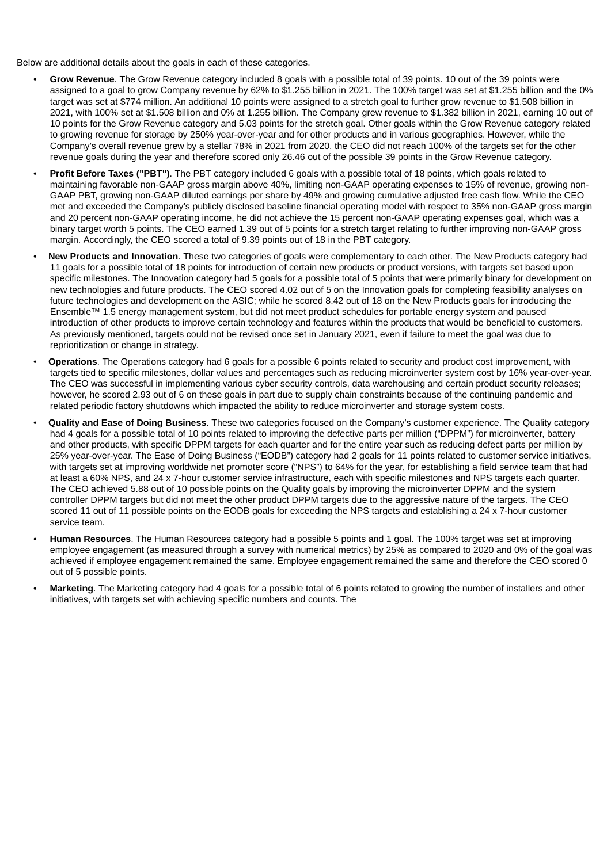Below are additional details about the goals in each of these categories.

- **Grow Revenue**. The Grow Revenue category included 8 goals with a possible total of 39 points. 10 out of the 39 points were assigned to a goal to grow Company revenue by 62% to \$1.255 billion in 2021. The 100% target was set at \$1.255 billion and the 0% target was set at \$774 million. An additional 10 points were assigned to a stretch goal to further grow revenue to \$1.508 billion in 2021, with 100% set at \$1.508 billion and 0% at 1.255 billion. The Company grew revenue to \$1.382 billion in 2021, earning 10 out of 10 points for the Grow Revenue category and 5.03 points for the stretch goal. Other goals within the Grow Revenue category related to growing revenue for storage by 250% year-over-year and for other products and in various geographies. However, while the Company's overall revenue grew by a stellar 78% in 2021 from 2020, the CEO did not reach 100% of the targets set for the other revenue goals during the year and therefore scored only 26.46 out of the possible 39 points in the Grow Revenue category.
- **Profit Before Taxes ("PBT")**. The PBT category included 6 goals with a possible total of 18 points, which goals related to maintaining favorable non-GAAP gross margin above 40%, limiting non-GAAP operating expenses to 15% of revenue, growing non-GAAP PBT, growing non-GAAP diluted earnings per share by 49% and growing cumulative adjusted free cash flow. While the CEO met and exceeded the Company's publicly disclosed baseline financial operating model with respect to 35% non-GAAP gross margin and 20 percent non-GAAP operating income, he did not achieve the 15 percent non-GAAP operating expenses goal, which was a binary target worth 5 points. The CEO earned 1.39 out of 5 points for a stretch target relating to further improving non-GAAP gross margin. Accordingly, the CEO scored a total of 9.39 points out of 18 in the PBT category.
- **New Products and Innovation**. These two categories of goals were complementary to each other. The New Products category had 11 goals for a possible total of 18 points for introduction of certain new products or product versions, with targets set based upon specific milestones. The Innovation category had 5 goals for a possible total of 5 points that were primarily binary for development on new technologies and future products. The CEO scored 4.02 out of 5 on the Innovation goals for completing feasibility analyses on future technologies and development on the ASIC; while he scored 8.42 out of 18 on the New Products goals for introducing the Ensemble™ 1.5 energy management system, but did not meet product schedules for portable energy system and paused introduction of other products to improve certain technology and features within the products that would be beneficial to customers. As previously mentioned, targets could not be revised once set in January 2021, even if failure to meet the goal was due to reprioritization or change in strategy.
- **Operations**. The Operations category had 6 goals for a possible 6 points related to security and product cost improvement, with targets tied to specific milestones, dollar values and percentages such as reducing microinverter system cost by 16% year-over-year. The CEO was successful in implementing various cyber security controls, data warehousing and certain product security releases; however, he scored 2.93 out of 6 on these goals in part due to supply chain constraints because of the continuing pandemic and related periodic factory shutdowns which impacted the ability to reduce microinverter and storage system costs.
- **Quality and Ease of Doing Business**. These two categories focused on the Company's customer experience. The Quality category had 4 goals for a possible total of 10 points related to improving the defective parts per million ("DPPM") for microinverter, battery and other products, with specific DPPM targets for each quarter and for the entire year such as reducing defect parts per million by 25% year-over-year. The Ease of Doing Business ("EODB") category had 2 goals for 11 points related to customer service initiatives, with targets set at improving worldwide net promoter score ("NPS") to 64% for the year, for establishing a field service team that had at least a 60% NPS, and 24 x 7-hour customer service infrastructure, each with specific milestones and NPS targets each quarter. The CEO achieved 5.88 out of 10 possible points on the Quality goals by improving the microinverter DPPM and the system controller DPPM targets but did not meet the other product DPPM targets due to the aggressive nature of the targets. The CEO scored 11 out of 11 possible points on the EODB goals for exceeding the NPS targets and establishing a 24 x 7-hour customer service team.
- **Human Resources**. The Human Resources category had a possible 5 points and 1 goal. The 100% target was set at improving employee engagement (as measured through a survey with numerical metrics) by 25% as compared to 2020 and 0% of the goal was achieved if employee engagement remained the same. Employee engagement remained the same and therefore the CEO scored 0 out of 5 possible points.
- **Marketing**. The Marketing category had 4 goals for a possible total of 6 points related to growing the number of installers and other initiatives, with targets set with achieving specific numbers and counts. The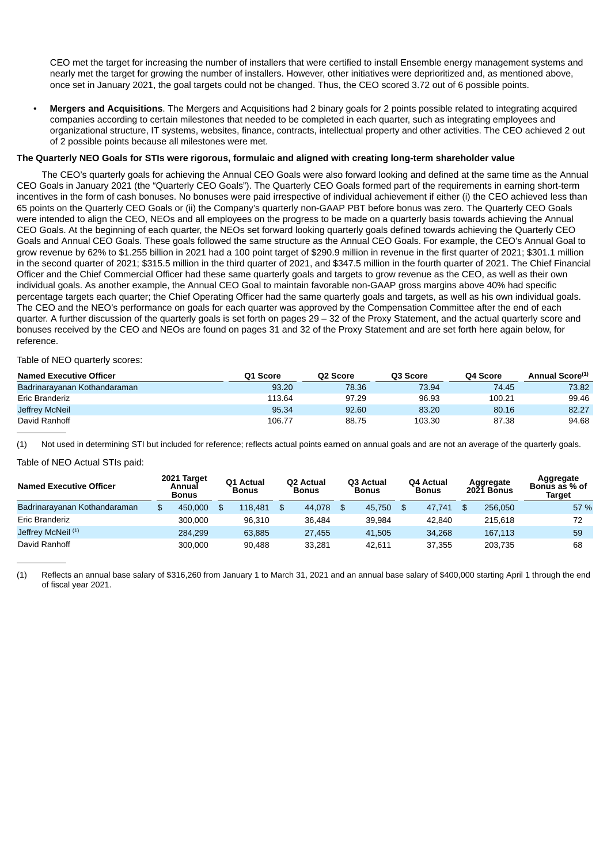CEO met the target for increasing the number of installers that were certified to install Ensemble energy management systems and nearly met the target for growing the number of installers. However, other initiatives were deprioritized and, as mentioned above, once set in January 2021, the goal targets could not be changed. Thus, the CEO scored 3.72 out of 6 possible points.

• **Mergers and Acquisitions**. The Mergers and Acquisitions had 2 binary goals for 2 points possible related to integrating acquired companies according to certain milestones that needed to be completed in each quarter, such as integrating employees and organizational structure, IT systems, websites, finance, contracts, intellectual property and other activities. The CEO achieved 2 out of 2 possible points because all milestones were met.

#### **The Quarterly NEO Goals for STIs were rigorous, formulaic and aligned with creating long-term shareholder value**

The CEO's quarterly goals for achieving the Annual CEO Goals were also forward looking and defined at the same time as the Annual CEO Goals in January 2021 (the "Quarterly CEO Goals"). The Quarterly CEO Goals formed part of the requirements in earning short-term incentives in the form of cash bonuses. No bonuses were paid irrespective of individual achievement if either (i) the CEO achieved less than 65 points on the Quarterly CEO Goals or (ii) the Company's quarterly non-GAAP PBT before bonus was zero. The Quarterly CEO Goals were intended to align the CEO, NEOs and all employees on the progress to be made on a quarterly basis towards achieving the Annual CEO Goals. At the beginning of each quarter, the NEOs set forward looking quarterly goals defined towards achieving the Quarterly CEO Goals and Annual CEO Goals. These goals followed the same structure as the Annual CEO Goals. For example, the CEO's Annual Goal to grow revenue by 62% to \$1.255 billion in 2021 had a 100 point target of \$290.9 million in revenue in the first quarter of 2021; \$301.1 million in the second quarter of 2021; \$315.5 million in the third quarter of 2021, and \$347.5 million in the fourth quarter of 2021. The Chief Financial Officer and the Chief Commercial Officer had these same quarterly goals and targets to grow revenue as the CEO, as well as their own individual goals. As another example, the Annual CEO Goal to maintain favorable non-GAAP gross margins above 40% had specific percentage targets each quarter; the Chief Operating Officer had the same quarterly goals and targets, as well as his own individual goals. The CEO and the NEO's performance on goals for each quarter was approved by the Compensation Committee after the end of each quarter. A further discussion of the quarterly goals is set forth on pages 29 – 32 of the Proxy Statement, and the actual quarterly score and bonuses received by the CEO and NEOs are found on pages 31 and 32 of the Proxy Statement and are set forth here again below, for reference.

Table of NEO quarterly scores:

| <b>Named Executive Officer</b> | <b>O1 Score</b> | O <sub>2</sub> Score | O <sub>3</sub> Score | <b>O4 Score</b> | Annual Score <sup>(1)</sup> |  |
|--------------------------------|-----------------|----------------------|----------------------|-----------------|-----------------------------|--|
| Badrinarayanan Kothandaraman   | 93.20           | 78.36                | 73.94                | 74.45           | 73.82                       |  |
| Eric Branderiz                 | 113.64          | 97.29                | 96.93                | 100.21          | 99.46                       |  |
| Jeffrey McNeil                 | 95.34           | 92.60                | 83.20                | 80.16           | 82.27                       |  |
| David Ranhoff                  | 106.77          | 88.75                | 103.30               | 87.38           | 94.68                       |  |

(1) Not used in determining STI but included for reference; reflects actual points earned on annual goals and are not an average of the quarterly goals.

#### Table of NEO Actual STIs paid:

| <b>Named Executive Officer</b> | 2021 Target<br>Annual<br><b>Bonus</b> |         | <b>O1 Actual</b><br><b>Bonus</b> |         | <b>O2 Actual</b><br><b>Bonus</b> |        | O <sub>3</sub> Actual<br><b>Bonus</b> |        | <b>O4 Actual</b><br><b>Bonus</b> |        | Aggregate<br>2021 Bonus |         | Aggregate<br>Bonus as % of<br>Target |  |
|--------------------------------|---------------------------------------|---------|----------------------------------|---------|----------------------------------|--------|---------------------------------------|--------|----------------------------------|--------|-------------------------|---------|--------------------------------------|--|
| Badrinarayanan Kothandaraman   | \$                                    | 450,000 | \$.                              | 118,481 | \$                               | 44.078 |                                       | 45.750 |                                  | 47.741 | -S.                     | 256.050 | 57 %                                 |  |
| Eric Branderiz                 |                                       | 300.000 |                                  | 96.310  |                                  | 36.484 |                                       | 39.984 |                                  | 42.840 |                         | 215.618 | 72                                   |  |
| Jeffrey McNeil <sup>(1)</sup>  |                                       | 284.299 |                                  | 63.885  |                                  | 27.455 |                                       | 41.505 |                                  | 34.268 |                         | 167.113 | 59                                   |  |
| David Ranhoff                  |                                       | 300.000 |                                  | 90.488  |                                  | 33.281 |                                       | 42.611 |                                  | 37.355 |                         | 203.735 | 68                                   |  |

(1) Reflects an annual base salary of \$316,260 from January 1 to March 31, 2021 and an annual base salary of \$400,000 starting April 1 through the end of fiscal year 2021.